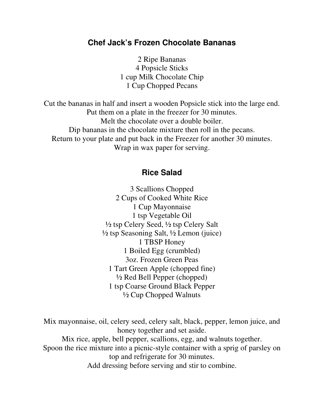## **Chef Jack's Frozen Chocolate Bananas**

2 Ripe Bananas 4 Popsicle Sticks 1 cup Milk Chocolate Chip 1 Cup Chopped Pecans

Cut the bananas in half and insert a wooden Popsicle stick into the large end. Put them on a plate in the freezer for 30 minutes. Melt the chocolate over a double boiler. Dip bananas in the chocolate mixture then roll in the pecans. Return to your plate and put back in the Freezer for another 30 minutes. Wrap in wax paper for serving.

## **Rice Salad**

3 Scallions Chopped 2 Cups of Cooked White Rice 1 Cup Mayonnaise 1 tsp Vegetable Oil ½ tsp Celery Seed, ½ tsp Celery Salt  $\frac{1}{2}$  tsp Seasoning Salt,  $\frac{1}{2}$  Lemon (juice) 1 TBSP Honey 1 Boiled Egg (crumbled) 3oz. Frozen Green Peas 1 Tart Green Apple (chopped fine) ½ Red Bell Pepper (chopped) 1 tsp Coarse Ground Black Pepper ½ Cup Chopped Walnuts

Mix mayonnaise, oil, celery seed, celery salt, black, pepper, lemon juice, and honey together and set aside. Mix rice, apple, bell pepper, scallions, egg, and walnuts together. Spoon the rice mixture into a picnic-style container with a sprig of parsley on top and refrigerate for 30 minutes. Add dressing before serving and stir to combine.